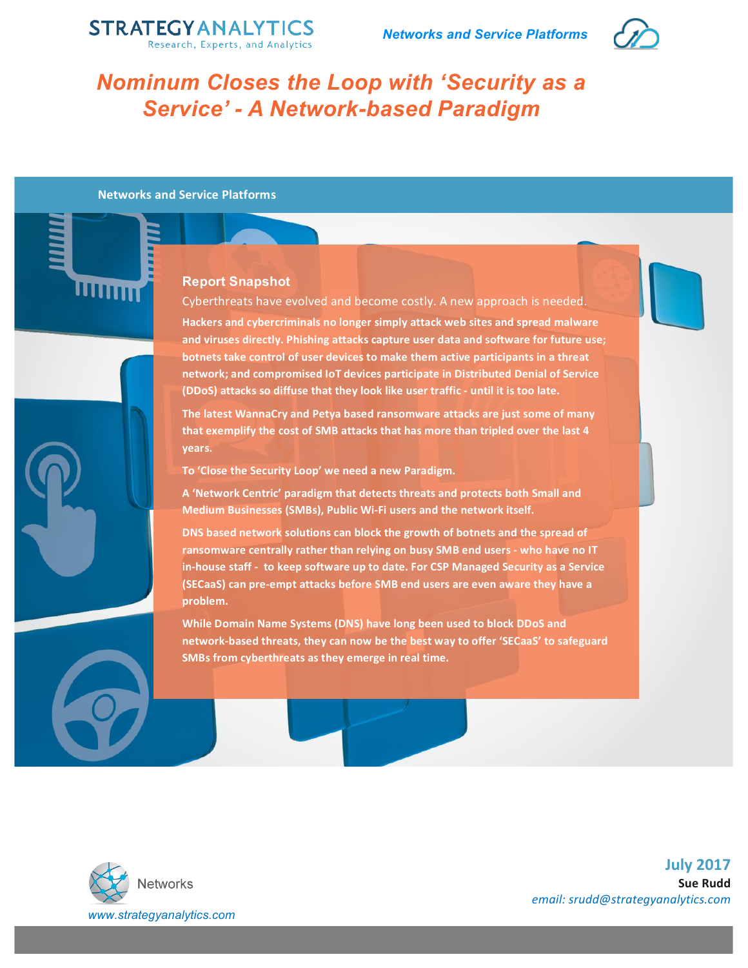



# *Nominum Closes the Loop with 'Security as a Service' - A Network-based Paradigm*

**Networks and Service Platforms** 

# **Report Snapshot**

Cyberthreats have evolved and become costly. A new approach is needed. Hackers and cybercriminals no longer simply attack web sites and spread malware and viruses directly. Phishing attacks capture user data and software for future use; **botnets take control of user devices to make them active participants in a threat** network; and compromised IoT devices participate in Distributed Denial of Service **(DDoS)** attacks so diffuse that they look like user traffic - until it is too late.

The latest WannaCry and Petya based ransomware attacks are just some of many that exemplify the cost of SMB attacks that has more than tripled over the last 4 **years.**

To 'Close the Security Loop' we need a new Paradigm.

A 'Network Centric' paradigm that detects threats and protects both Small and **Medium Businesses (SMBs), Public Wi-Fi users and the network itself.** 

**DNS** based network solutions can block the growth of botnets and the spread of ransomware centrally rather than relying on busy SMB end users - who have no IT in-house staff - to keep software up to date. For CSP Managed Security as a Service **(SECaaS)** can pre-empt attacks before SMB end users are even aware they have a **problem.** 

**While Domain Name Systems (DNS) have long been used to block DDoS and** network-based threats, they can now be the best way to offer 'SECaaS' to safeguard **SMBs from cyberthreats as they emerge in real time.** 



**July 2017 Sue Rudd** *email: srudd@strategyanalytics.com*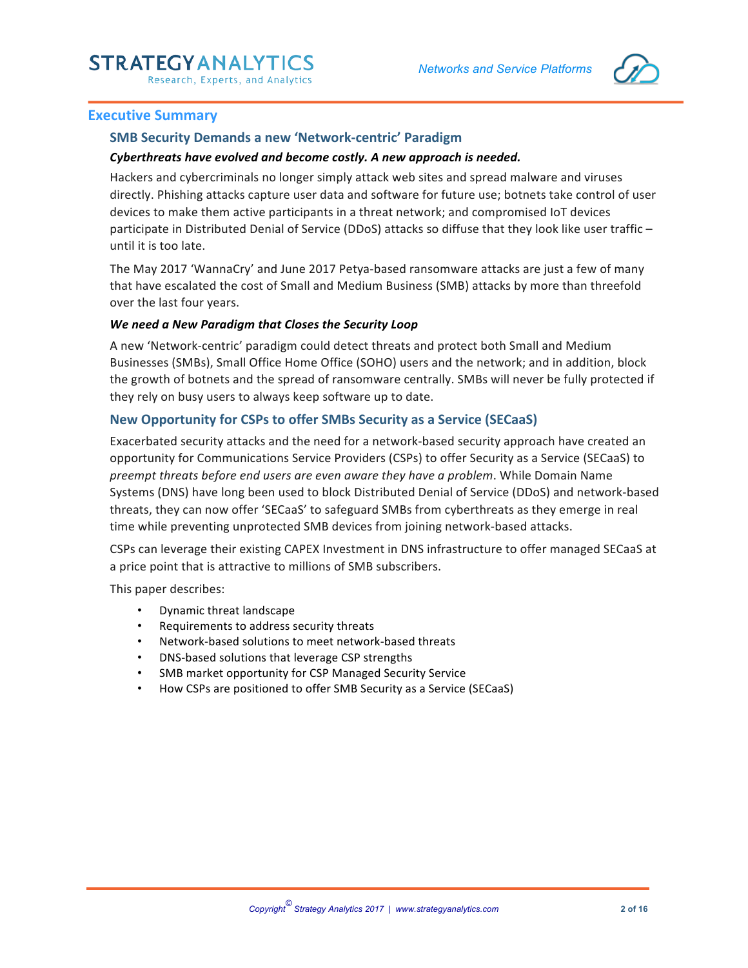*Networks and Service Platforms*



### **Executive Summary**

# **SMB Security Demands a new 'Network-centric' Paradigm**

#### **Cyberthreats have evolved and become costly. A new approach is needed.**

Hackers and cybercriminals no longer simply attack web sites and spread malware and viruses directly. Phishing attacks capture user data and software for future use; botnets take control of user devices to make them active participants in a threat network; and compromised IoT devices participate in Distributed Denial of Service (DDoS) attacks so diffuse that they look like user traffic until it is too late.

The May 2017 'WannaCry' and June 2017 Petya-based ransomware attacks are just a few of many that have escalated the cost of Small and Medium Business (SMB) attacks by more than threefold over the last four years.

#### *We need a New Paradigm that Closes the Security Loop*

A new 'Network-centric' paradigm could detect threats and protect both Small and Medium Businesses (SMBs), Small Office Home Office (SOHO) users and the network; and in addition, block the growth of botnets and the spread of ransomware centrally. SMBs will never be fully protected if they rely on busy users to always keep software up to date.

#### **New Opportunity for CSPs to offer SMBs Security as a Service (SECaaS)**

Exacerbated security attacks and the need for a network-based security approach have created an opportunity for Communications Service Providers (CSPs) to offer Security as a Service (SECaaS) to *preempt threats before end users are even aware they have a problem*. While Domain Name Systems (DNS) have long been used to block Distributed Denial of Service (DDoS) and network-based threats, they can now offer 'SECaaS' to safeguard SMBs from cyberthreats as they emerge in real time while preventing unprotected SMB devices from joining network-based attacks.

CSPs can leverage their existing CAPEX Investment in DNS infrastructure to offer managed SECaaS at a price point that is attractive to millions of SMB subscribers.

This paper describes:

- Dynamic threat landscape
- Requirements to address security threats
- Network-based solutions to meet network-based threats
- DNS-based solutions that leverage CSP strengths
- SMB market opportunity for CSP Managed Security Service
- How CSPs are positioned to offer SMB Security as a Service (SECaaS)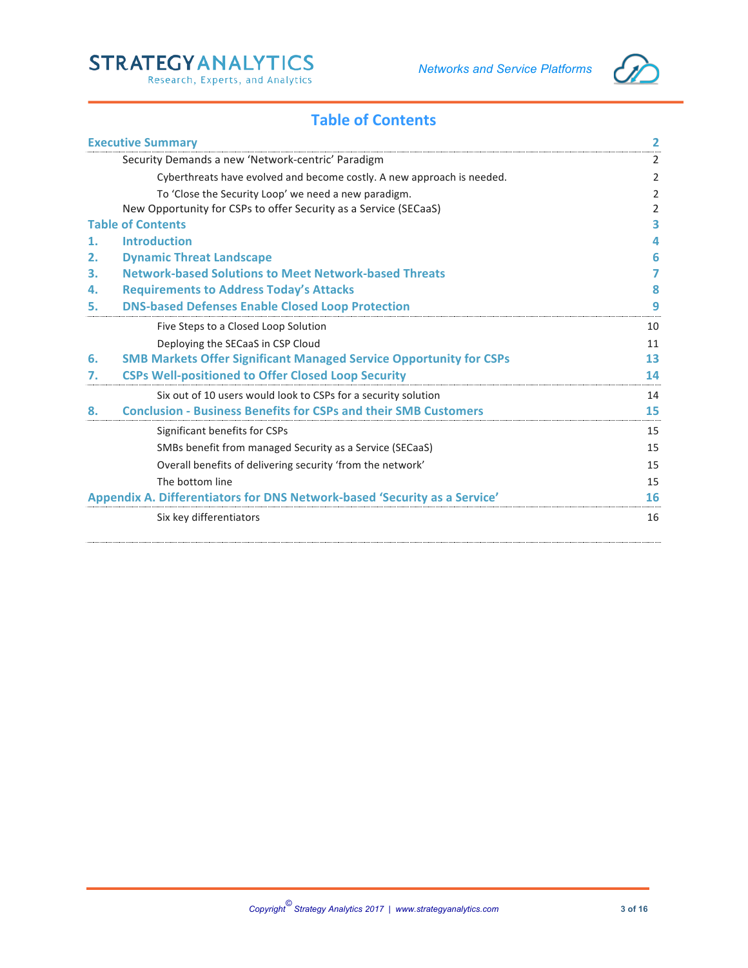

# **Table of Contents**

|    | <b>Executive Summary</b>                                                  | 2  |
|----|---------------------------------------------------------------------------|----|
|    | Security Demands a new 'Network-centric' Paradigm                         | 2  |
|    | Cyberthreats have evolved and become costly. A new approach is needed.    | 2  |
|    | To 'Close the Security Loop' we need a new paradigm.                      | 2  |
|    | New Opportunity for CSPs to offer Security as a Service (SECaaS)          | 2  |
|    | <b>Table of Contents</b>                                                  | 3  |
| 1. | <b>Introduction</b>                                                       |    |
| 2. | <b>Dynamic Threat Landscape</b>                                           | 6  |
| З. | <b>Network-based Solutions to Meet Network-based Threats</b>              |    |
| 4. | <b>Requirements to Address Today's Attacks</b>                            | 8  |
| 5. | <b>DNS-based Defenses Enable Closed Loop Protection</b>                   |    |
|    | Five Steps to a Closed Loop Solution                                      | 10 |
|    | Deploying the SECaaS in CSP Cloud                                         | 11 |
| 6. | <b>SMB Markets Offer Significant Managed Service Opportunity for CSPs</b> | 13 |
| 7. | <b>CSPs Well-positioned to Offer Closed Loop Security</b>                 | 14 |
|    | Six out of 10 users would look to CSPs for a security solution            | 14 |
| 8. | <b>Conclusion - Business Benefits for CSPs and their SMB Customers</b>    | 15 |
|    | Significant benefits for CSPs                                             | 15 |
|    | SMBs benefit from managed Security as a Service (SECaaS)                  | 15 |
|    | Overall benefits of delivering security 'from the network'                | 15 |
|    | The bottom line                                                           | 15 |
|    | Appendix A. Differentiators for DNS Network-based 'Security as a Service' | 16 |
|    | Six key differentiators                                                   | 16 |
|    |                                                                           |    |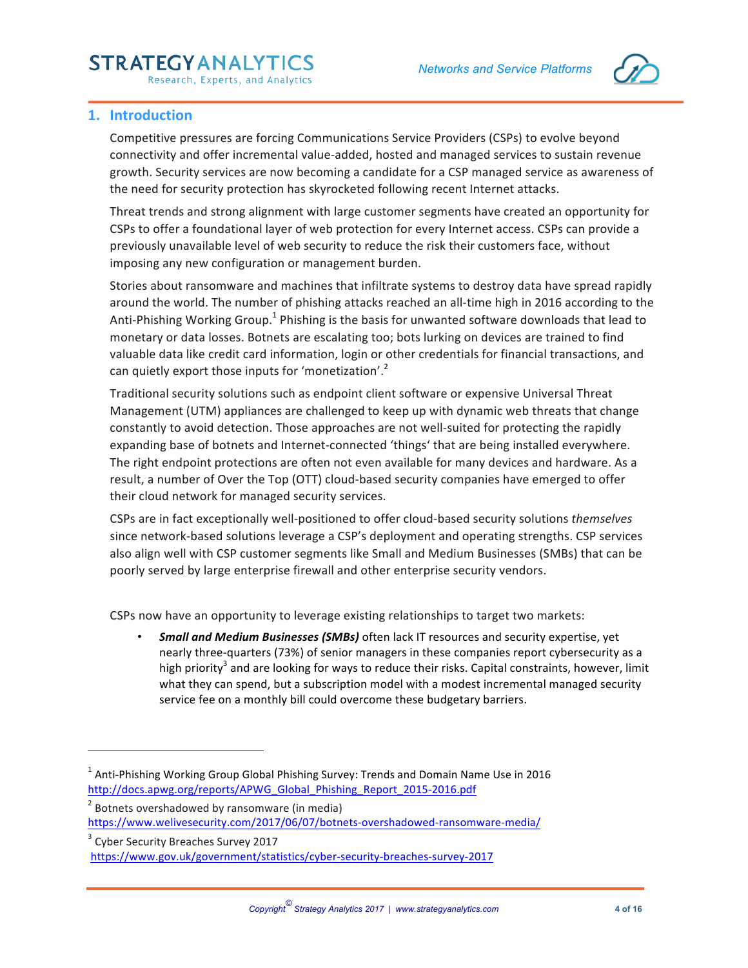# **STRATEGYANALYTICS**

Research, Experts, and Analytics



### **1. Introduction**

Competitive pressures are forcing Communications Service Providers (CSPs) to evolve beyond connectivity and offer incremental value-added, hosted and managed services to sustain revenue growth. Security services are now becoming a candidate for a CSP managed service as awareness of the need for security protection has skyrocketed following recent Internet attacks.

Threat trends and strong alignment with large customer segments have created an opportunity for CSPs to offer a foundational layer of web protection for every Internet access. CSPs can provide a previously unavailable level of web security to reduce the risk their customers face, without imposing any new configuration or management burden.

Stories about ransomware and machines that infiltrate systems to destroy data have spread rapidly around the world. The number of phishing attacks reached an all-time high in 2016 according to the Anti-Phishing Working Group.<sup>1</sup> Phishing is the basis for unwanted software downloads that lead to monetary or data losses. Botnets are escalating too; bots lurking on devices are trained to find valuable data like credit card information, login or other credentials for financial transactions, and can quietly export those inputs for 'monetization'.<sup>2</sup>

Traditional security solutions such as endpoint client software or expensive Universal Threat Management (UTM) appliances are challenged to keep up with dynamic web threats that change constantly to avoid detection. Those approaches are not well-suited for protecting the rapidly expanding base of botnets and Internet-connected 'things' that are being installed everywhere. The right endpoint protections are often not even available for many devices and hardware. As a result, a number of Over the Top (OTT) cloud-based security companies have emerged to offer their cloud network for managed security services.

CSPs are in fact exceptionally well-positioned to offer cloud-based security solutions *themselves* since network-based solutions leverage a CSP's deployment and operating strengths. CSP services also align well with CSP customer segments like Small and Medium Businesses (SMBs) that can be poorly served by large enterprise firewall and other enterprise security vendors.

CSPs now have an opportunity to leverage existing relationships to target two markets:

**Small and Medium Businesses (SMBs)** often lack IT resources and security expertise, yet nearly three-quarters (73%) of senior managers in these companies report cybersecurity as a high priority<sup>3</sup> and are looking for ways to reduce their risks. Capital constraints, however, limit what they can spend, but a subscription model with a modest incremental managed security service fee on a monthly bill could overcome these budgetary barriers.

<u> 1989 - Johann Barn, mars eta bainar eta industrial eta industrial eta industrial eta industrial eta industria</u>

 $<sup>1</sup>$  Anti-Phishing Working Group Global Phishing Survey: Trends and Domain Name Use in 2016</sup> http://docs.apwg.org/reports/APWG\_Global\_Phishing\_Report\_2015-2016.pdf

 $2$  Botnets overshadowed by ransomware (in media) https://www.welivesecurity.com/2017/06/07/botnets-overshadowed-ransomware-media/ 

<sup>&</sup>lt;sup>3</sup> Cyber Security Breaches Survey 2017 https://www.gov.uk/government/statistics/cyber-security-breaches-survey-2017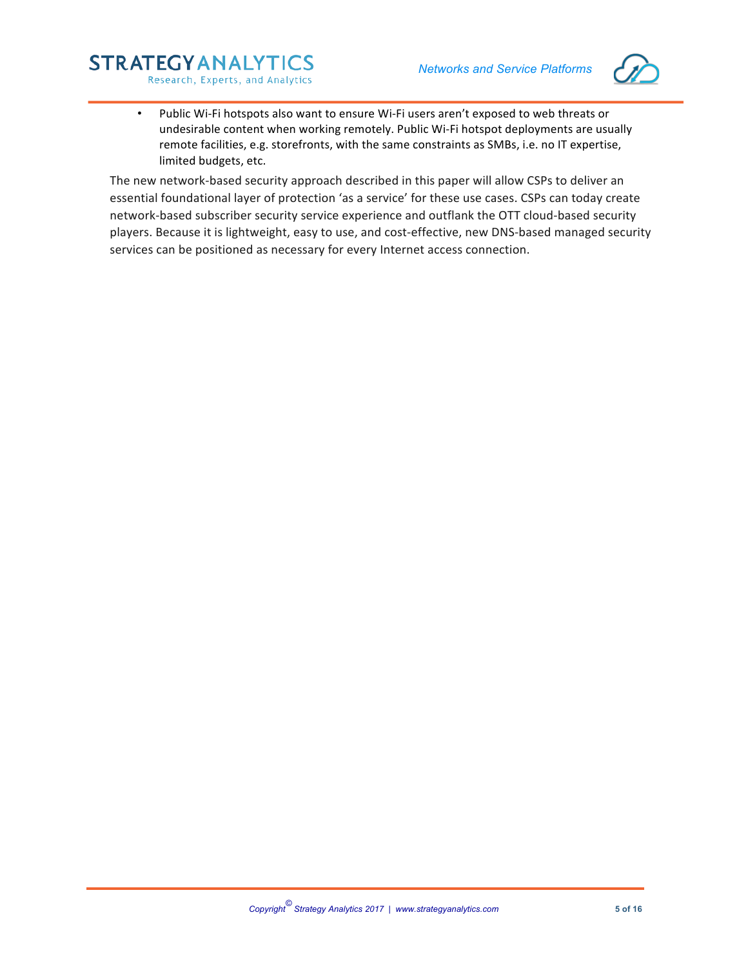

• Public Wi-Fi hotspots also want to ensure Wi-Fi users aren't exposed to web threats or undesirable content when working remotely. Public Wi-Fi hotspot deployments are usually remote facilities, e.g. storefronts, with the same constraints as SMBs, i.e. no IT expertise, limited budgets, etc.

**STRATEGYANALYTICS** 

Research, Experts, and Analytics

The new network-based security approach described in this paper will allow CSPs to deliver an essential foundational layer of protection 'as a service' for these use cases. CSPs can today create network-based subscriber security service experience and outflank the OTT cloud-based security players. Because it is lightweight, easy to use, and cost-effective, new DNS-based managed security services can be positioned as necessary for every Internet access connection.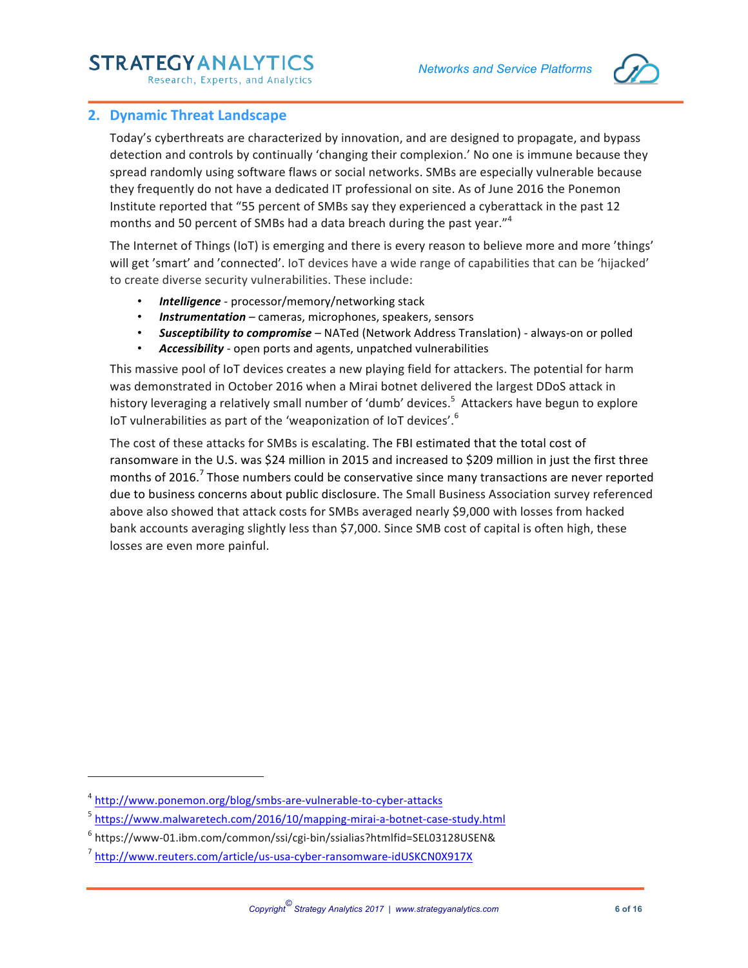# **STRATEGYANALYTICS**



Research, Experts, and Analytics

### **2. Dynamic Threat Landscape**

Today's cyberthreats are characterized by innovation, and are designed to propagate, and bypass detection and controls by continually 'changing their complexion.' No one is immune because they spread randomly using software flaws or social networks. SMBs are especially vulnerable because they frequently do not have a dedicated IT professional on site. As of June 2016 the Ponemon Institute reported that "55 percent of SMBs say they experienced a cyberattack in the past 12 months and 50 percent of SMBs had a data breach during the past year."<sup>4</sup>

The Internet of Things (IoT) is emerging and there is every reason to believe more and more 'things' will get 'smart' and 'connected'. IoT devices have a wide range of capabilities that can be 'hijacked' to create diverse security vulnerabilities. These include:

- **Intelligence** processor/memory/networking stack
- **Instrumentation** cameras, microphones, speakers, sensors
- **Susceptibility to compromise** NATed (Network Address Translation) always-on or polled
- Accessibility open ports and agents, unpatched vulnerabilities

This massive pool of IoT devices creates a new playing field for attackers. The potential for harm was demonstrated in October 2016 when a Mirai botnet delivered the largest DDoS attack in history leveraging a relatively small number of 'dumb' devices.<sup>5</sup> Attackers have begun to explore IoT vulnerabilities as part of the 'weaponization of IoT devices'.<sup>6</sup>

The cost of these attacks for SMBs is escalating. The FBI estimated that the total cost of ransomware in the U.S. was \$24 million in 2015 and increased to \$209 million in just the first three months of 2016.<sup>7</sup> Those numbers could be conservative since many transactions are never reported due to business concerns about public disclosure. The Small Business Association survey referenced above also showed that attack costs for SMBs averaged nearly \$9,000 with losses from hacked bank accounts averaging slightly less than \$7,000. Since SMB cost of capital is often high, these losses are even more painful.

<u> 1989 - Johann Barn, mars eta bainar eta industrial eta industrial eta industrial eta industrial eta industria</u>

<sup>4</sup> http://www.ponemon.org/blog/smbs-are-vulnerable-to-cyber-attacks

<sup>&</sup>lt;sup>5</sup> https://www.malwaretech.com/2016/10/mapping-mirai-a-botnet-case-study.html

 $6$  https://www-01.ibm.com/common/ssi/cgi-bin/ssialias?htmlfid=SEL03128USEN&

<sup>7</sup> http://www.reuters.com/article/us-usa-cyber-ransomware-idUSKCN0X917X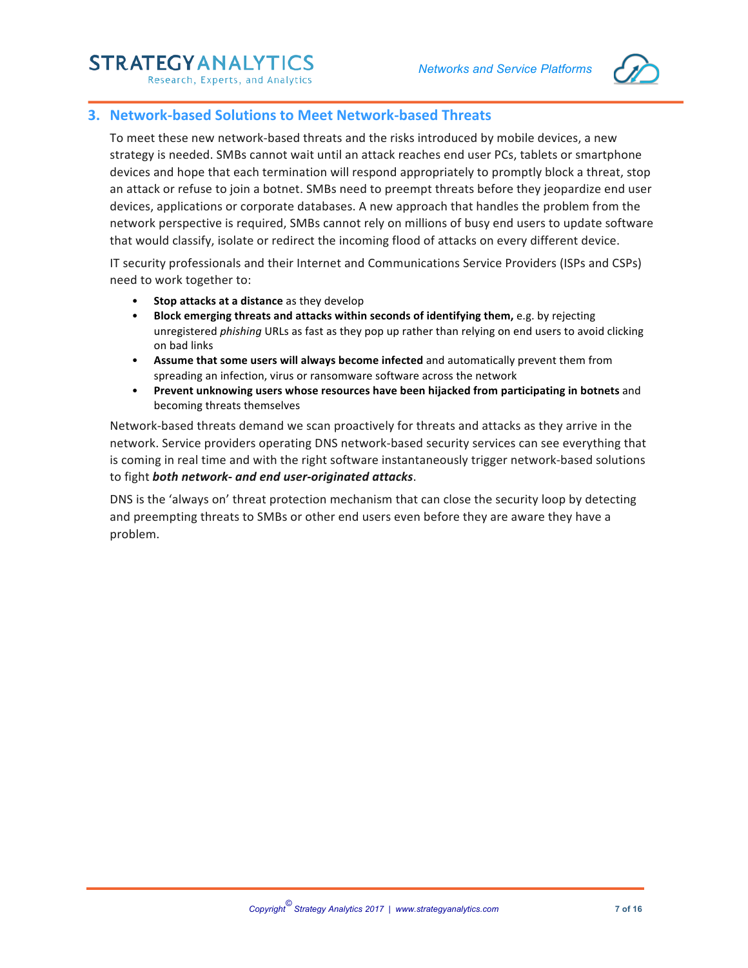# **STRATEGYANALYTICS**



Research, Experts, and Analytics

### **3. Network-based Solutions to Meet Network-based Threats**

To meet these new network-based threats and the risks introduced by mobile devices, a new strategy is needed. SMBs cannot wait until an attack reaches end user PCs, tablets or smartphone devices and hope that each termination will respond appropriately to promptly block a threat, stop an attack or refuse to join a botnet. SMBs need to preempt threats before they jeopardize end user devices, applications or corporate databases. A new approach that handles the problem from the network perspective is required, SMBs cannot rely on millions of busy end users to update software that would classify, isolate or redirect the incoming flood of attacks on every different device.

IT security professionals and their Internet and Communications Service Providers (ISPs and CSPs) need to work together to:

- **Stop attacks at a distance** as they develop
- **Block emerging threats and attacks within seconds of identifying them, e.g. by rejecting** unregistered *phishing* URLs as fast as they pop up rather than relying on end users to avoid clicking on bad links
- Assume that some users will always become infected and automatically prevent them from spreading an infection, virus or ransomware software across the network
- Prevent unknowing users whose resources have been hijacked from participating in botnets and becoming threats themselves

Network-based threats demand we scan proactively for threats and attacks as they arrive in the network. Service providers operating DNS network-based security services can see everything that is coming in real time and with the right software instantaneously trigger network-based solutions to fight both network- and end user-originated attacks.

DNS is the 'always on' threat protection mechanism that can close the security loop by detecting and preempting threats to SMBs or other end users even before they are aware they have a problem.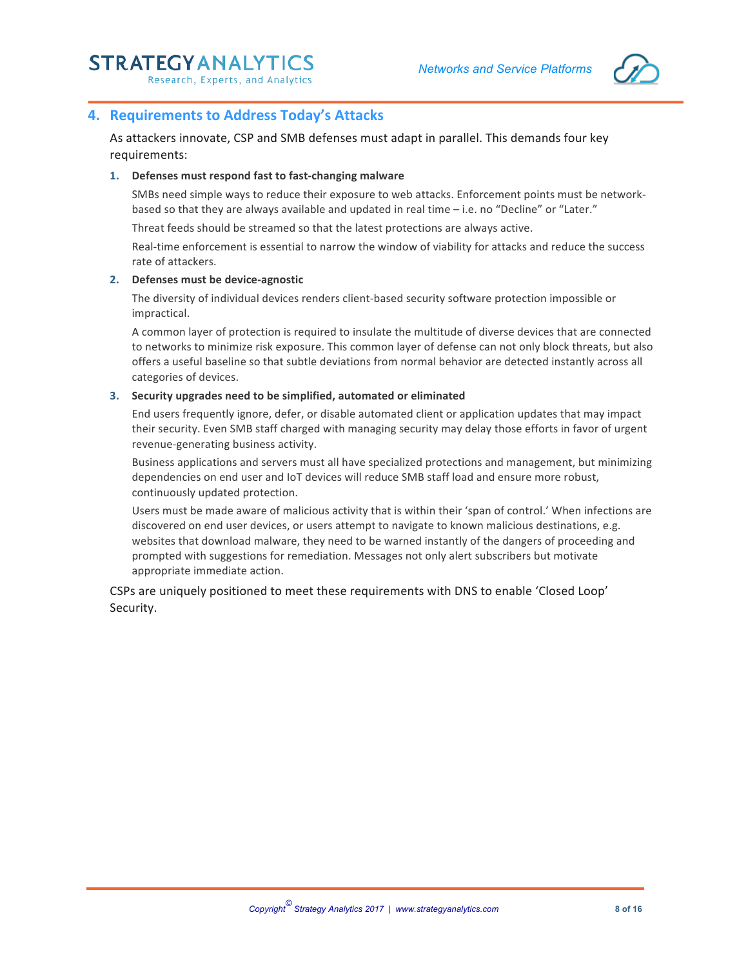

### **4. Requirements to Address Today's Attacks**

As attackers innovate, CSP and SMB defenses must adapt in parallel. This demands four key requirements:

#### 1. **Defenses must respond fast to fast-changing malware**

SMBs need simple ways to reduce their exposure to web attacks. Enforcement points must be networkbased so that they are always available and updated in real time - i.e. no "Decline" or "Later."

Threat feeds should be streamed so that the latest protections are always active.

Real-time enforcement is essential to narrow the window of viability for attacks and reduce the success rate of attackers.

#### **2. Defenses must be device-agnostic**

The diversity of individual devices renders client-based security software protection impossible or impractical. 

A common layer of protection is required to insulate the multitude of diverse devices that are connected to networks to minimize risk exposure. This common layer of defense can not only block threats, but also offers a useful baseline so that subtle deviations from normal behavior are detected instantly across all categories of devices.

#### **3. Security upgrades need to be simplified, automated or eliminated**

End users frequently ignore, defer, or disable automated client or application updates that may impact their security. Even SMB staff charged with managing security may delay those efforts in favor of urgent revenue-generating business activity.

Business applications and servers must all have specialized protections and management, but minimizing dependencies on end user and IoT devices will reduce SMB staff load and ensure more robust, continuously updated protection.

Users must be made aware of malicious activity that is within their 'span of control.' When infections are discovered on end user devices, or users attempt to navigate to known malicious destinations, e.g. websites that download malware, they need to be warned instantly of the dangers of proceeding and prompted with suggestions for remediation. Messages not only alert subscribers but motivate appropriate immediate action.

CSPs are uniquely positioned to meet these requirements with DNS to enable 'Closed Loop' Security.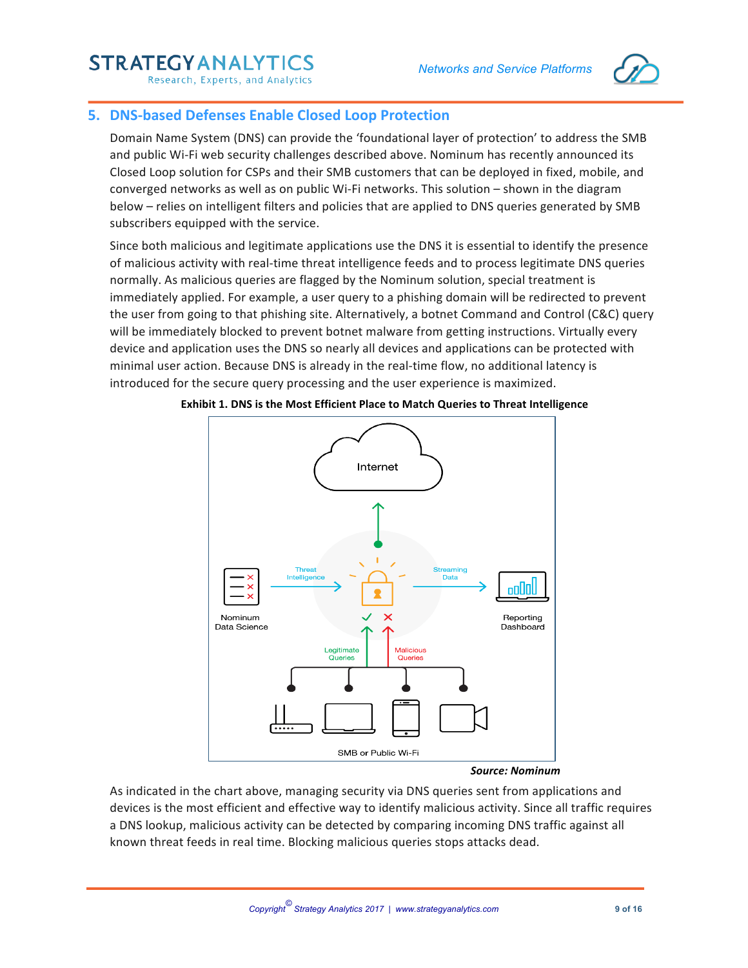# **STRATEGYANALYTI**



Research, Experts, and Analytics

# **5. DNS-based Defenses Enable Closed Loop Protection**

Domain Name System (DNS) can provide the 'foundational layer of protection' to address the SMB and public Wi-Fi web security challenges described above. Nominum has recently announced its Closed Loop solution for CSPs and their SMB customers that can be deployed in fixed, mobile, and converged networks as well as on public Wi-Fi networks. This solution – shown in the diagram below – relies on intelligent filters and policies that are applied to DNS queries generated by SMB subscribers equipped with the service.

Since both malicious and legitimate applications use the DNS it is essential to identify the presence of malicious activity with real-time threat intelligence feeds and to process legitimate DNS queries normally. As malicious queries are flagged by the Nominum solution, special treatment is immediately applied. For example, a user query to a phishing domain will be redirected to prevent the user from going to that phishing site. Alternatively, a botnet Command and Control (C&C) query will be immediately blocked to prevent botnet malware from getting instructions. Virtually every device and application uses the DNS so nearly all devices and applications can be protected with minimal user action. Because DNS is already in the real-time flow, no additional latency is introduced for the secure query processing and the user experience is maximized.



#### **Exhibit 1. DNS is the Most Efficient Place to Match Queries to Threat Intelligence**

#### *Source: Nominum*

As indicated in the chart above, managing security via DNS queries sent from applications and devices is the most efficient and effective way to identify malicious activity. Since all traffic requires a DNS lookup, malicious activity can be detected by comparing incoming DNS traffic against all known threat feeds in real time. Blocking malicious queries stops attacks dead.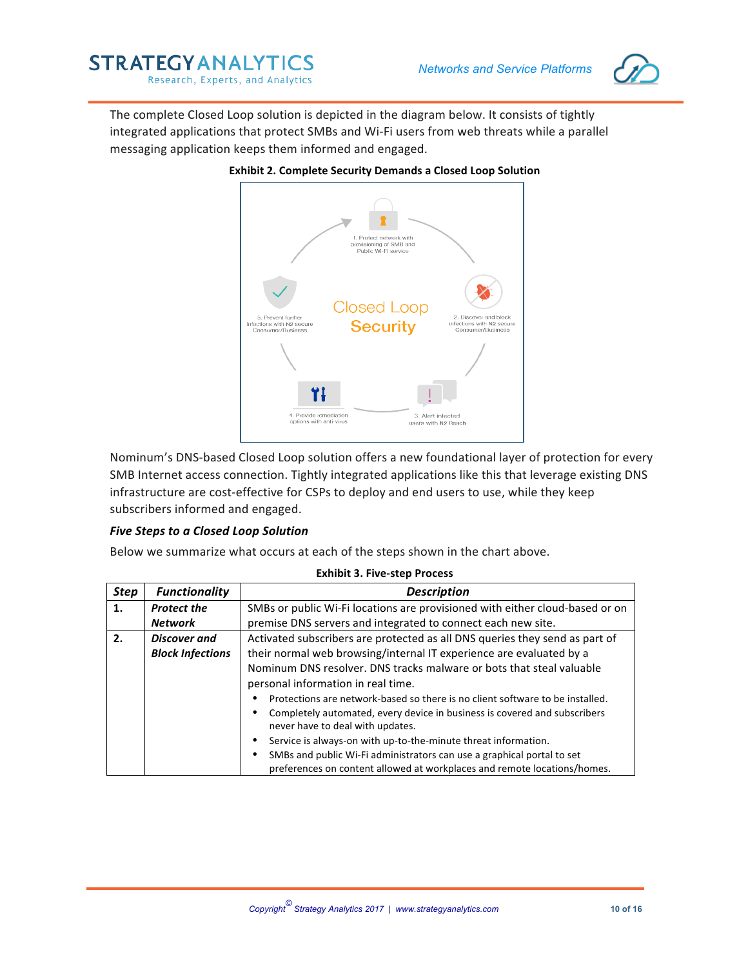

The complete Closed Loop solution is depicted in the diagram below. It consists of tightly integrated applications that protect SMBs and Wi-Fi users from web threats while a parallel messaging application keeps them informed and engaged.



#### **Exhibit 2. Complete Security Demands a Closed Loop Solution**

Nominum's DNS-based Closed Loop solution offers a new foundational layer of protection for every SMB Internet access connection. Tightly integrated applications like this that leverage existing DNS infrastructure are cost-effective for CSPs to deploy and end users to use, while they keep subscribers informed and engaged.

#### **Five Steps to a Closed Loop Solution**

Below we summarize what occurs at each of the steps shown in the chart above.

| <b>Step</b> | <b>Functionality</b>    | <b>Description</b>                                                                                                                                 |  |  |  |
|-------------|-------------------------|----------------------------------------------------------------------------------------------------------------------------------------------------|--|--|--|
| 1.          | <b>Protect the</b>      | SMBs or public Wi-Fi locations are provisioned with either cloud-based or on                                                                       |  |  |  |
|             | <b>Network</b>          | premise DNS servers and integrated to connect each new site.                                                                                       |  |  |  |
| 2.          | Discover and            | Activated subscribers are protected as all DNS queries they send as part of                                                                        |  |  |  |
|             | <b>Block Infections</b> | their normal web browsing/internal IT experience are evaluated by a                                                                                |  |  |  |
|             |                         | Nominum DNS resolver. DNS tracks malware or bots that steal valuable                                                                               |  |  |  |
|             |                         | personal information in real time.                                                                                                                 |  |  |  |
|             |                         | Protections are network-based so there is no client software to be installed.                                                                      |  |  |  |
|             |                         | Completely automated, every device in business is covered and subscribers<br>never have to deal with updates.                                      |  |  |  |
|             |                         | Service is always-on with up-to-the-minute threat information.                                                                                     |  |  |  |
|             |                         | SMBs and public Wi-Fi administrators can use a graphical portal to set<br>preferences on content allowed at workplaces and remote locations/homes. |  |  |  |

#### **Exhibit 3. Five-step Process**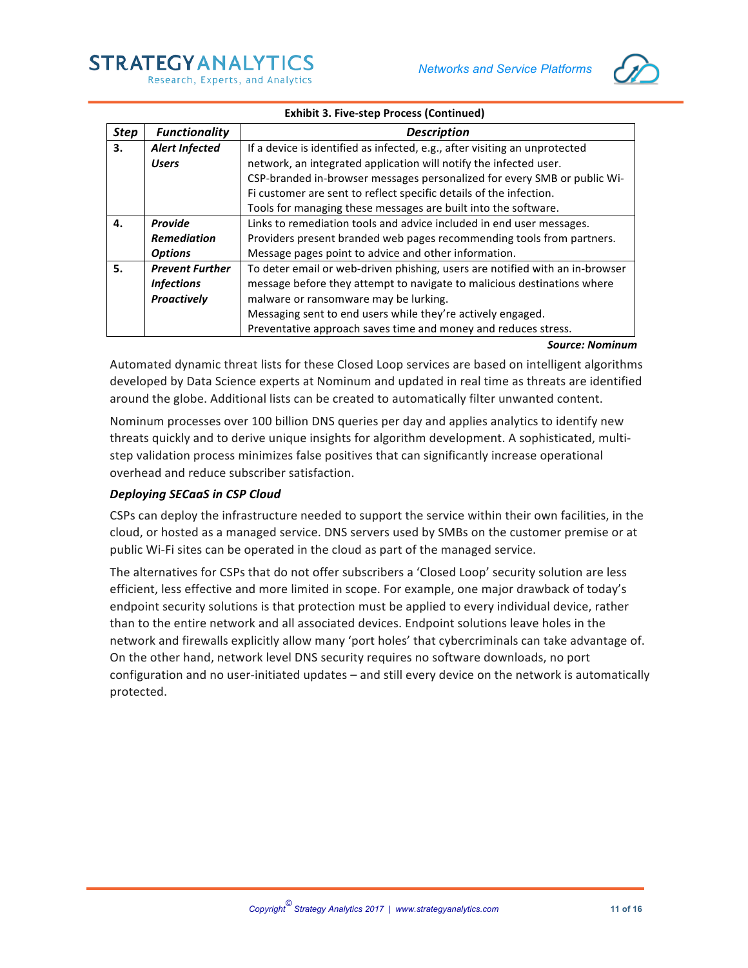

#### **Exhibit 3. Five-step Process (Continued)**

| <b>Step</b> | <b>Functionality</b>   | <b>Description</b>                                                           |  |  |  |
|-------------|------------------------|------------------------------------------------------------------------------|--|--|--|
| 3.          | <b>Alert Infected</b>  | If a device is identified as infected, e.g., after visiting an unprotected   |  |  |  |
|             | <b>Users</b>           | network, an integrated application will notify the infected user.            |  |  |  |
|             |                        | CSP-branded in-browser messages personalized for every SMB or public Wi-     |  |  |  |
|             |                        | Fi customer are sent to reflect specific details of the infection.           |  |  |  |
|             |                        | Tools for managing these messages are built into the software.               |  |  |  |
| 4.          | <b>Provide</b>         | Links to remediation tools and advice included in end user messages.         |  |  |  |
|             | <b>Remediation</b>     | Providers present branded web pages recommending tools from partners.        |  |  |  |
|             | <b>Options</b>         | Message pages point to advice and other information.                         |  |  |  |
| 5.          | <b>Prevent Further</b> | To deter email or web-driven phishing, users are notified with an in-browser |  |  |  |
|             | <b>Infections</b>      | message before they attempt to navigate to malicious destinations where      |  |  |  |
|             | Proactively            | malware or ransomware may be lurking.                                        |  |  |  |
|             |                        | Messaging sent to end users while they're actively engaged.                  |  |  |  |
|             |                        | Preventative approach saves time and money and reduces stress.               |  |  |  |

#### *Source: Nominum*

Automated dynamic threat lists for these Closed Loop services are based on intelligent algorithms developed by Data Science experts at Nominum and updated in real time as threats are identified around the globe. Additional lists can be created to automatically filter unwanted content.

Nominum processes over 100 billion DNS queries per day and applies analytics to identify new threats quickly and to derive unique insights for algorithm development. A sophisticated, multistep validation process minimizes false positives that can significantly increase operational overhead and reduce subscriber satisfaction.

#### **Deploying SECaaS in CSP Cloud**

CSPs can deploy the infrastructure needed to support the service within their own facilities, in the cloud, or hosted as a managed service. DNS servers used by SMBs on the customer premise or at public Wi-Fi sites can be operated in the cloud as part of the managed service.

The alternatives for CSPs that do not offer subscribers a 'Closed Loop' security solution are less efficient, less effective and more limited in scope. For example, one major drawback of today's endpoint security solutions is that protection must be applied to every individual device, rather than to the entire network and all associated devices. Endpoint solutions leave holes in the network and firewalls explicitly allow many 'port holes' that cybercriminals can take advantage of. On the other hand, network level DNS security requires no software downloads, no port configuration and no user-initiated updates – and still every device on the network is automatically protected.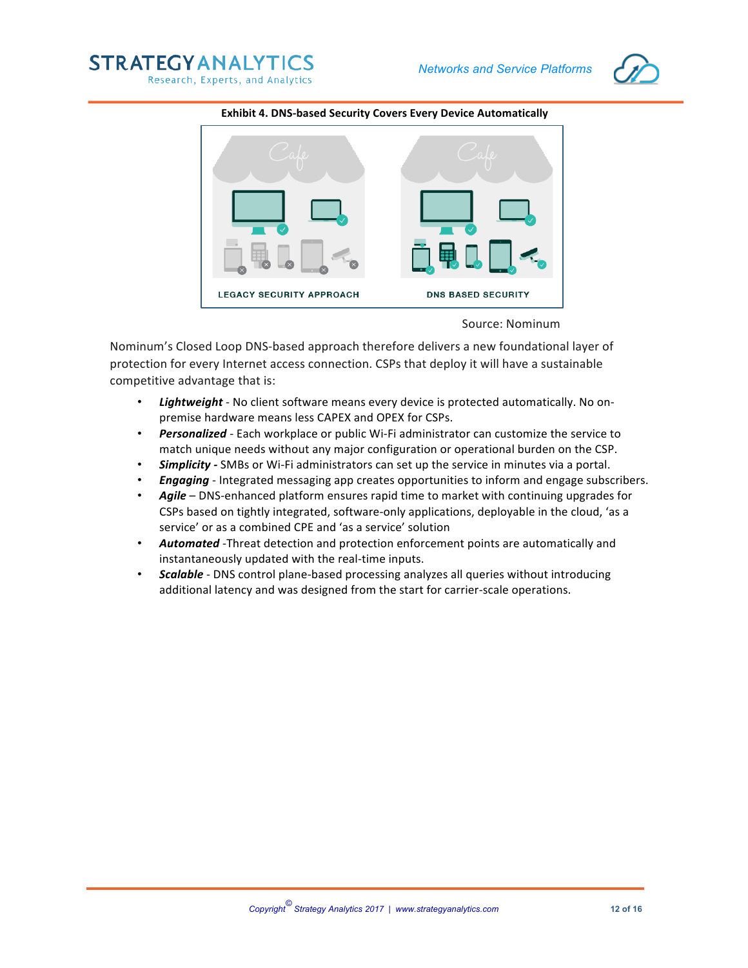





#### **Exhibit 4. DNS-based Security Covers Every Device Automatically**

Source: Nominum

Nominum's Closed Loop DNS-based approach therefore delivers a new foundational layer of protection for every Internet access connection. CSPs that deploy it will have a sustainable competitive advantage that is:

- Lightweight No client software means every device is protected automatically. No onpremise hardware means less CAPEX and OPEX for CSPs.
- **Personalized** Each workplace or public Wi-Fi administrator can customize the service to match unique needs without any major configuration or operational burden on the CSP.
- **Simplicity** SMBs or Wi-Fi administrators can set up the service in minutes via a portal.
- **Engaging** Integrated messaging app creates opportunities to inform and engage subscribers.
- Agile DNS-enhanced platform ensures rapid time to market with continuing upgrades for CSPs based on tightly integrated, software-only applications, deployable in the cloud, 'as a service' or as a combined CPE and 'as a service' solution
- Automated -Threat detection and protection enforcement points are automatically and instantaneously updated with the real-time inputs.
- *Scalable* DNS control plane-based processing analyzes all queries without introducing additional latency and was designed from the start for carrier-scale operations.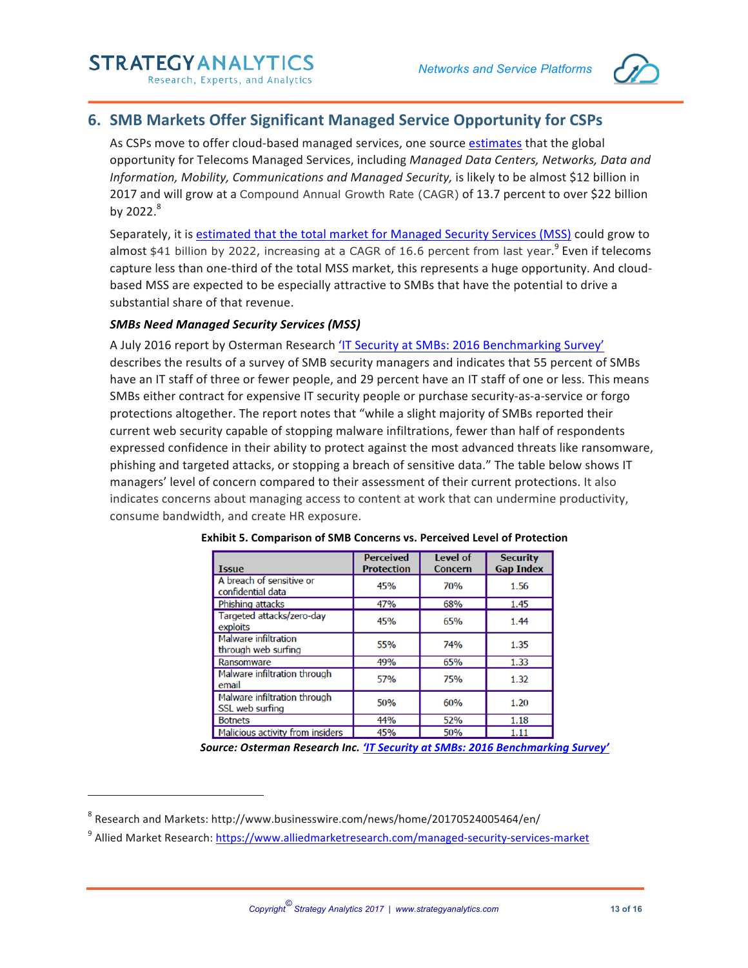

# **6. SMB Markets Offer Significant Managed Service Opportunity for CSPs**

As CSPs move to offer cloud-based managed services, one source estimates that the global opportunity for Telecoms Managed Services, including Managed Data Centers, Networks, Data and *Information, Mobility, Communications and Managed Security,* is likely to be almost \$12 billion in 2017 and will grow at a Compound Annual Growth Rate (CAGR) of 13.7 percent to over \$22 billion by  $2022.<sup>8</sup>$ 

Separately, it is estimated that the total market for Managed Security Services (MSS) could grow to almost \$41 billion by 2022, increasing at a CAGR of 16.6 percent from last year.<sup>9</sup> Even if telecoms capture less than one-third of the total MSS market, this represents a huge opportunity. And cloudbased MSS are expected to be especially attractive to SMBs that have the potential to drive a substantial share of that revenue.

#### **SMBs Need Managed Security Services (MSS)**

A July 2016 report by Osterman Research 'IT Security at SMBs: 2016 Benchmarking Survey' describes the results of a survey of SMB security managers and indicates that 55 percent of SMBs have an IT staff of three or fewer people, and 29 percent have an IT staff of one or less. This means SMBs either contract for expensive IT security people or purchase security-as-a-service or forgo protections altogether. The report notes that "while a slight majority of SMBs reported their current web security capable of stopping malware infiltrations, fewer than half of respondents expressed confidence in their ability to protect against the most advanced threats like ransomware, phishing and targeted attacks, or stopping a breach of sensitive data." The table below shows IT managers' level of concern compared to their assessment of their current protections. It also indicates concerns about managing access to content at work that can undermine productivity, consume bandwidth, and create HR exposure.

| <b>Issue</b>                                       | <b>Perceived</b><br><b>Protection</b> | <b>Level of</b><br><b>Concern</b> | <b>Security</b><br><b>Gap Index</b> |
|----------------------------------------------------|---------------------------------------|-----------------------------------|-------------------------------------|
| A breach of sensitive or<br>confidential data      | 45%                                   | 70%                               | 1.56                                |
| Phishing attacks                                   | 47%                                   | 68%                               | 1.45                                |
| Targeted attacks/zero-day<br>exploits              | 45%                                   | 65%                               | 1.44                                |
| <b>Malware infiltration</b><br>through web surfing | 55%                                   | 74%                               | 1.35                                |
| Ransomware                                         | 49%                                   | 65%                               | 1.33                                |
| Malware infiltration through<br>email              | 57%                                   | 75%                               | 1.32                                |
| Malware infiltration through<br>SSL web surfing    | 50%                                   | 60%                               | 1.20                                |
| <b>Botnets</b>                                     | 44%                                   | 52%                               | 1.18                                |
| Malicious activity from insiders                   | 45%                                   | 50%                               | 1.11                                |

|  | Exhibit 5. Comparison of SMB Concerns vs. Perceived Level of Protection |  |  |  |  |  |
|--|-------------------------------------------------------------------------|--|--|--|--|--|
|--|-------------------------------------------------------------------------|--|--|--|--|--|

**Source: Osterman Research Inc. 'IT Security at SMBs: 2016 Benchmarking Survey'** 

<u> 1989 - Johann Barn, mars eta bainar eta industrial eta industrial eta industrial eta industrial eta industria</u>

 $8$  Research and Markets: http://www.businesswire.com/news/home/20170524005464/en/

<sup>&</sup>lt;sup>9</sup> Allied Market Research: https://www.alliedmarketresearch.com/managed-security-services-market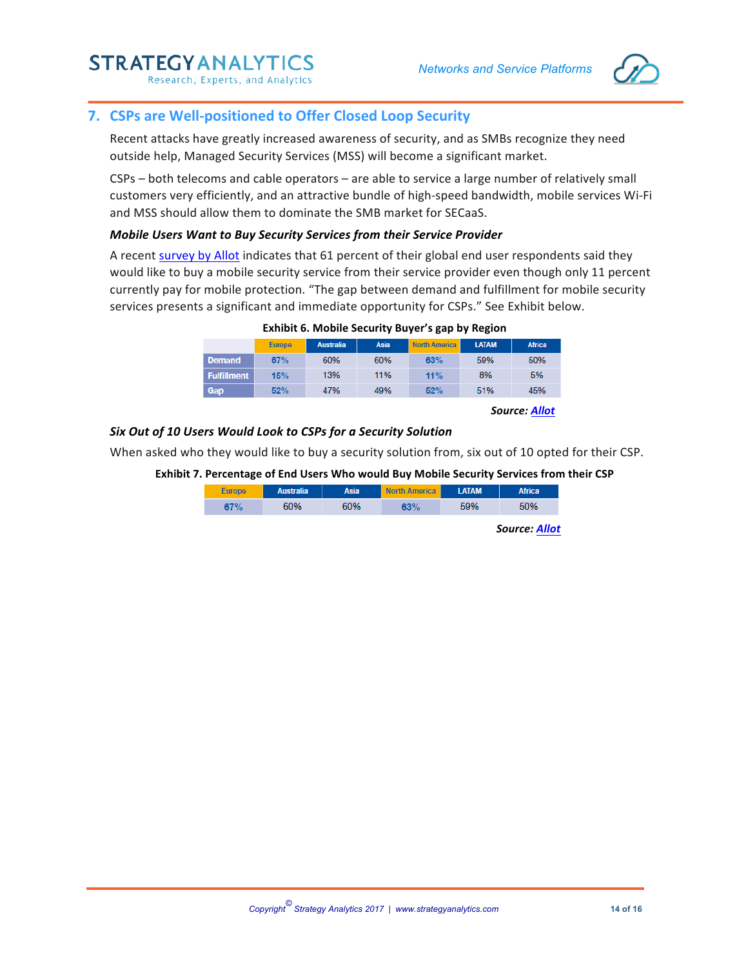

# **7. CSPs are Well-positioned to Offer Closed Loop Security**

Recent attacks have greatly increased awareness of security, and as SMBs recognize they need outside help, Managed Security Services (MSS) will become a significant market.

 $CSPs -$  both telecoms and cable operators  $-$  are able to service a large number of relatively small customers very efficiently, and an attractive bundle of high-speed bandwidth, mobile services Wi-Fi and MSS should allow them to dominate the SMB market for SECaaS.

#### *Mobile Users Want to Buy Security Services from their Service Provider*

A recent survey by Allot indicates that 61 percent of their global end user respondents said they would like to buy a mobile security service from their service provider even though only 11 percent currently pay for mobile protection. "The gap between demand and fulfillment for mobile security services presents a significant and immediate opportunity for CSPs." See Exhibit below.

|                    | <b>Europe</b> | <b>Australia</b> | Asia | <b>North America</b> | <b>LATAM</b> | <b>Africa</b> |
|--------------------|---------------|------------------|------|----------------------|--------------|---------------|
| <b>Demand</b>      | 67%           | 60%              | 60%  | 63%                  | 59%          | 50%           |
| <b>Fulfillment</b> | 15%           | 13%              | 11%  | 11%                  | 8%           | 5%            |
| Gap                | 52%           | 47%              | 49%  | 52%                  | 51%          | 45%           |

**Exhibit 6. Mobile Security Buyer's gap by Region** 

*Source: Allot*

#### *Six Out of 10 Users Would Look to CSPs for a Security Solution*

When asked who they would like to buy a security solution from, six out of 10 opted for their CSP.

#### **Exhibit 7. Percentage of End Users Who would Buy Mobile Security Services from their CSP**

| <b>Europe</b> | <b>Australia</b> | Asia | <b>North America</b> | <b>LATAM</b> | <b>Africa</b> |
|---------------|------------------|------|----------------------|--------------|---------------|
| 67%           | 60%              | 60%  | 63%                  | 59%          | 50%           |

*Source: Allot*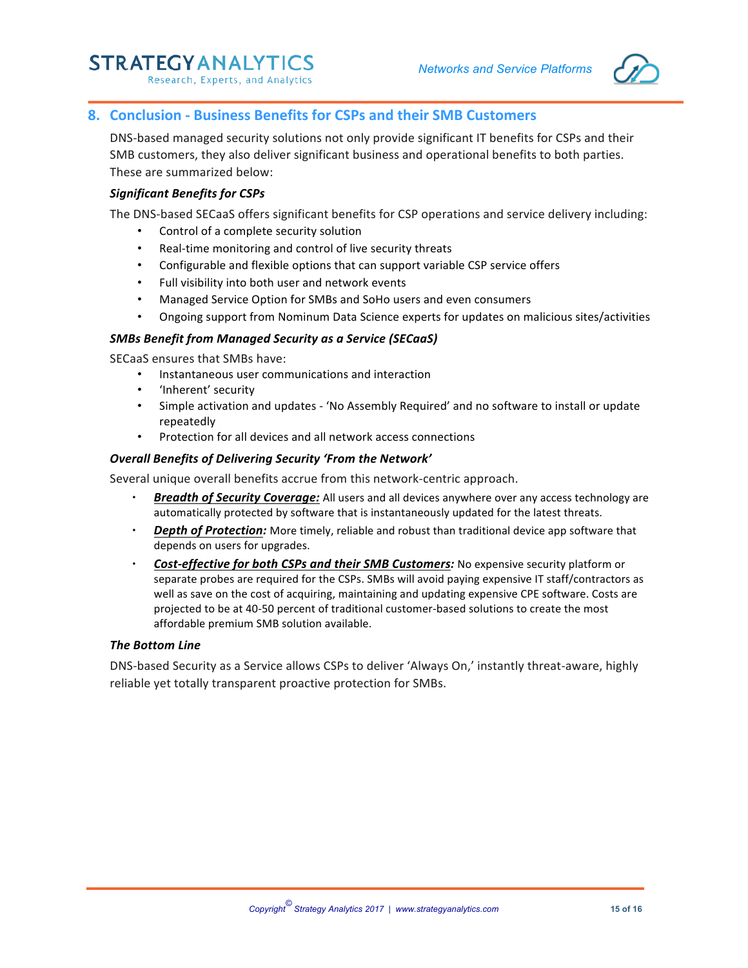

# **8. Conclusion - Business Benefits for CSPs and their SMB Customers**

DNS-based managed security solutions not only provide significant IT benefits for CSPs and their SMB customers, they also deliver significant business and operational benefits to both parties. These are summarized below:

#### *Significant Benefits for CSPs*

The DNS-based SECaaS offers significant benefits for CSP operations and service delivery including:

- Control of a complete security solution
- Real-time monitoring and control of live security threats
- Configurable and flexible options that can support variable CSP service offers
- Full visibility into both user and network events
- Managed Service Option for SMBs and SoHo users and even consumers
- Ongoing support from Nominum Data Science experts for updates on malicious sites/activities

#### *SMBs Benefit from Managed Security as a Service (SECaaS)*

SECaaS ensures that SMBs have:

- Instantaneous user communications and interaction
- 'Inherent' security
- Simple activation and updates 'No Assembly Required' and no software to install or update repeatedly
- Protection for all devices and all network access connections

#### **Overall Benefits of Delivering Security 'From the Network'**

Several unique overall benefits accrue from this network-centric approach.

- **Breadth of Security Coverage:** All users and all devices anywhere over any access technology are automatically protected by software that is instantaneously updated for the latest threats.
- **Depth of Protection:** More timely, reliable and robust than traditional device app software that depends on users for upgrades.
- **Cost-effective for both CSPs and their SMB Customers:** No expensive security platform or separate probes are required for the CSPs. SMBs will avoid paying expensive IT staff/contractors as well as save on the cost of acquiring, maintaining and updating expensive CPE software. Costs are projected to be at 40-50 percent of traditional customer-based solutions to create the most affordable premium SMB solution available.

#### **The Bottom Line**

DNS-based Security as a Service allows CSPs to deliver 'Always On,' instantly threat-aware, highly reliable yet totally transparent proactive protection for SMBs.